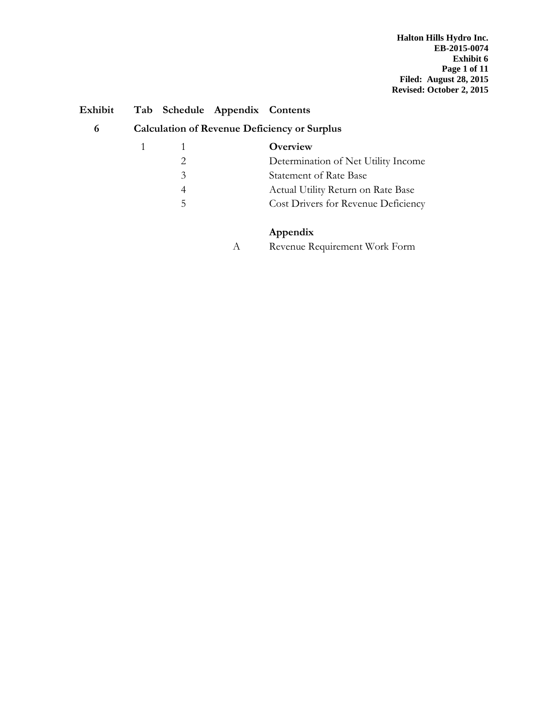| Exhibit |                        |               | Tab Schedule Appendix Contents |                                                     |
|---------|------------------------|---------------|--------------------------------|-----------------------------------------------------|
| 6       |                        |               |                                | <b>Calculation of Revenue Deficiency or Surplus</b> |
|         | $1 \quad \blacksquare$ |               |                                | Overview                                            |
|         |                        |               |                                | Determination of Net Utility Income                 |
|         |                        | $\mathcal{E}$ |                                | <b>Statement of Rate Base</b>                       |
|         |                        | 4             |                                | Actual Utility Return on Rate Base                  |

### 5 Cost Drivers for Revenue Deficiency

### **Appendix**

A Revenue Requirement Work Form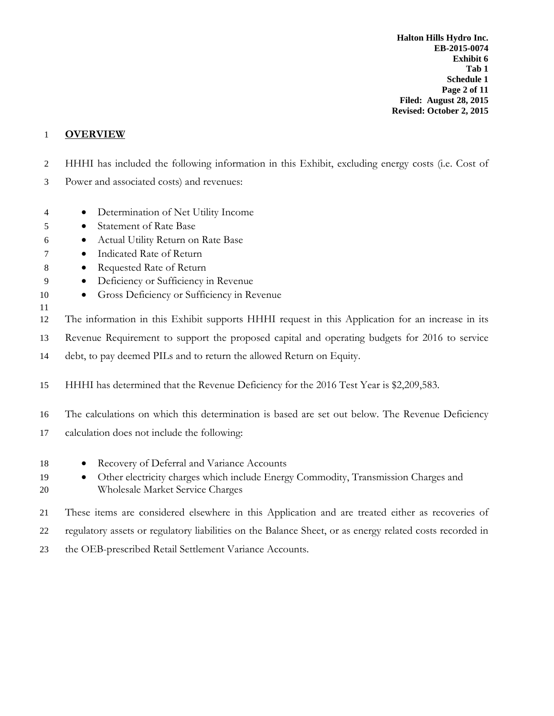**Halton Hills Hydro Inc. EB-2015-0074 Exhibit 6 Tab 1 Schedule 1 Page 2 of 11 Filed: August 28, 2015 Revised: October 2, 2015**

#### 1 **OVERVIEW**

- 2 HHHI has included the following information in this Exhibit, excluding energy costs (i.e. Cost of
- 3 Power and associated costs) and revenues:
- 4 Determination of Net Utility Income
- 5 Statement of Rate Base
- 6 Actual Utility Return on Rate Base
- 7 Indicated Rate of Return
- 8 Requested Rate of Return
- 9 Deficiency or Sufficiency in Revenue
- 10 Gross Deficiency or Sufficiency in Revenue
- 11
- 12 The information in this Exhibit supports HHHI request in this Application for an increase in its
- 13 Revenue Requirement to support the proposed capital and operating budgets for 2016 to service
- 14 debt, to pay deemed PILs and to return the allowed Return on Equity.
- 15 HHHI has determined that the Revenue Deficiency for the 2016 Test Year is \$2,209,583.
- 16 The calculations on which this determination is based are set out below. The Revenue Deficiency
- 17 calculation does not include the following:
- 18 Recovery of Deferral and Variance Accounts
- 19 Other electricity charges which include Energy Commodity, Transmission Charges and 20 Wholesale Market Service Charges
- 21 These items are considered elsewhere in this Application and are treated either as recoveries of
- 22 regulatory assets or regulatory liabilities on the Balance Sheet, or as energy related costs recorded in
- 23 the OEB-prescribed Retail Settlement Variance Accounts.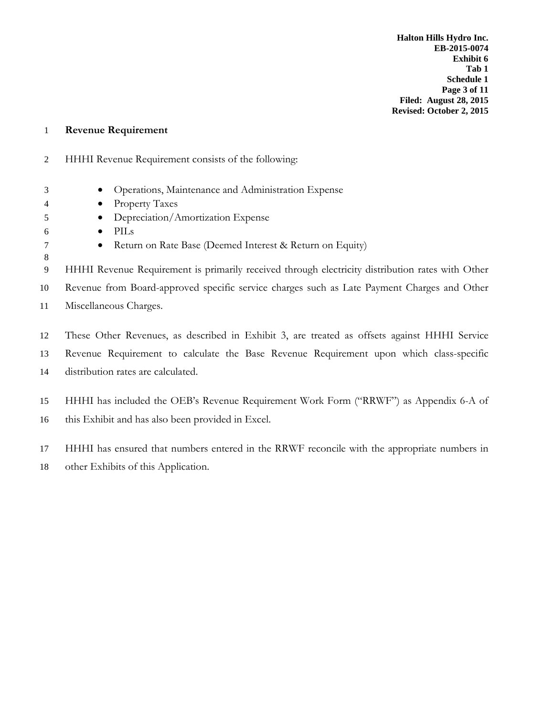**Halton Hills Hydro Inc. EB-2015-0074 Exhibit 6 Tab 1 Schedule 1 Page 3 of 11 Filed: August 28, 2015 Revised: October 2, 2015**

#### **Revenue Requirement**

- HHHI Revenue Requirement consists of the following:
- Operations, Maintenance and Administration Expense
- Property Taxes
- Depreciation/Amortization Expense
- PILs

- 7 Return on Rate Base (Deemed Interest & Return on Equity)
- HHHI Revenue Requirement is primarily received through electricity distribution rates with Other Revenue from Board-approved specific service charges such as Late Payment Charges and Other Miscellaneous Charges.
- These Other Revenues, as described in Exhibit 3, are treated as offsets against HHHI Service Revenue Requirement to calculate the Base Revenue Requirement upon which class-specific distribution rates are calculated.
- HHHI has included the OEB's Revenue Requirement Work Form ("RRWF") as Appendix 6-A of this Exhibit and has also been provided in Excel.

 HHHI has ensured that numbers entered in the RRWF reconcile with the appropriate numbers in other Exhibits of this Application.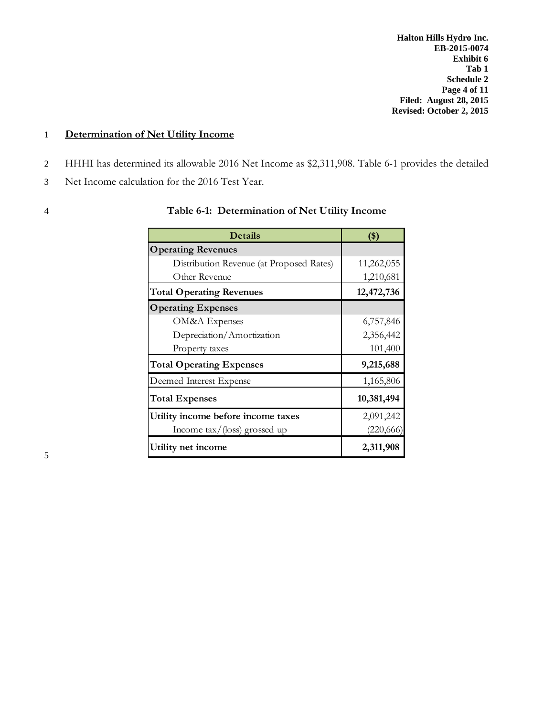**Halton Hills Hydro Inc. EB-2015-0074 Exhibit 6 Tab 1 Schedule 2 Page 4 of 11 Filed: August 28, 2015 Revised: October 2, 2015**

#### 1 **Determination of Net Utility Income**

- 2 HHHI has determined its allowable 2016 Net Income as \$2,311,908. Table 6-1 provides the detailed
- 3 Net Income calculation for the 2016 Test Year.
- 

#### 4 **Table 6-1: Determination of Net Utility Income**

| <b>Details</b>                           | $($ \$)    |
|------------------------------------------|------------|
| <b>Operating Revenues</b>                |            |
| Distribution Revenue (at Proposed Rates) | 11,262,055 |
| Other Revenue                            | 1,210,681  |
| <b>Total Operating Revenues</b>          | 12,472,736 |
| <b>Operating Expenses</b>                |            |
| OM&A Expenses                            | 6,757,846  |
| Depreciation/Amortization                | 2,356,442  |
| Property taxes                           | 101,400    |
| <b>Total Operating Expenses</b>          | 9,215,688  |
| Deemed Interest Expense                  | 1,165,806  |
| <b>Total Expenses</b>                    | 10,381,494 |
| Utility income before income taxes       | 2,091,242  |
| Income tax/(loss) grossed up             | (220, 666) |
| Utility net income                       | 2,311,908  |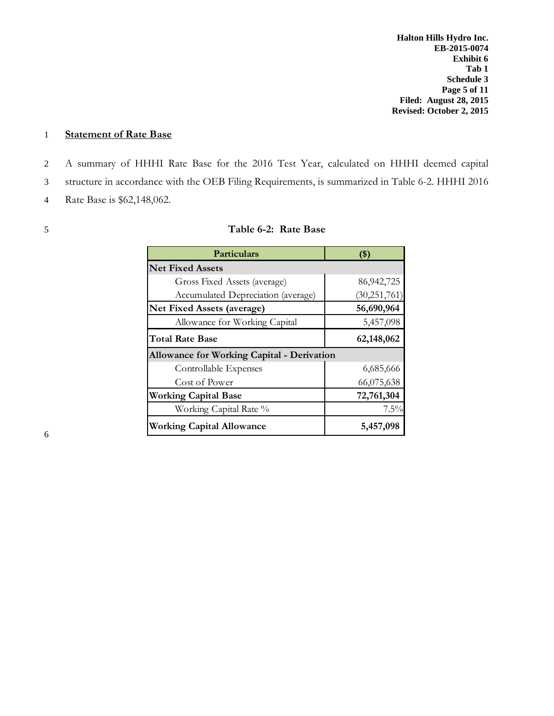#### 1 **Statement of Rate Base**

2 A summary of HHHI Rate Base for the 2016 Test Year, calculated on HHHI deemed capital 3 structure in accordance with the OEB Filing Requirements, is summarized in Table 6-2. HHHI 2016

4 Rate Base is \$62,148,062.

#### 5 **Table 6-2: Rate Base**

| <b>Particulars</b>                                | '\$)           |
|---------------------------------------------------|----------------|
| <b>Net Fixed Assets</b>                           |                |
| Gross Fixed Assets (average)                      | 86, 942, 725   |
| Accumulated Depreciation (average)                | (30, 251, 761) |
| Net Fixed Assets (average)                        | 56,690,964     |
| Allowance for Working Capital                     | 5,457,098      |
| <b>Total Rate Base</b>                            | 62,148,062     |
| <b>Allowance for Working Capital - Derivation</b> |                |
| Controllable Expenses                             | 6,685,666      |
| Cost of Power                                     | 66,075,638     |
| <b>Working Capital Base</b>                       | 72,761,304     |
| Working Capital Rate %                            | $7.5\%$        |
| <b>Working Capital Allowance</b>                  | 5,457,098      |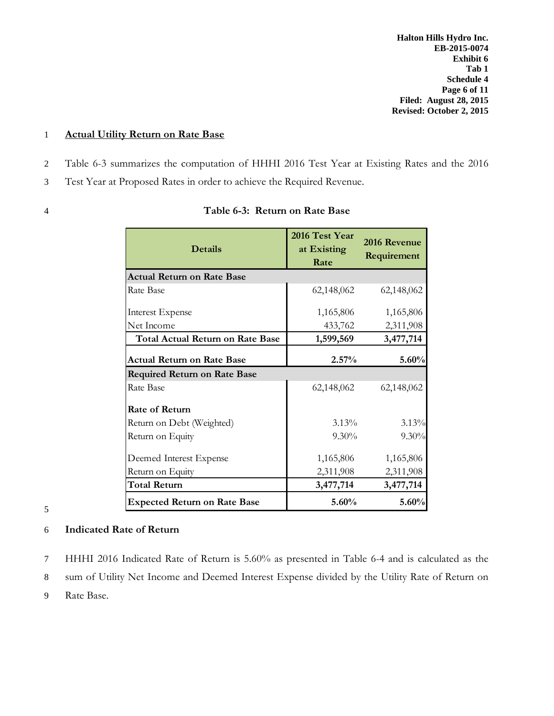**Halton Hills Hydro Inc. EB-2015-0074 Exhibit 6 Tab 1 Schedule 4 Page 6 of 11 Filed: August 28, 2015 Revised: October 2, 2015**

#### 1 **Actual Utility Return on Rate Base**

- 2 Table 6-3 summarizes the computation of HHHI 2016 Test Year at Existing Rates and the 2016
- 3 Test Year at Proposed Rates in order to achieve the Required Revenue.
- 

| <b>Details</b>    | 2016 Test Year<br>at Existing<br>Rate | 2016<br>Req |
|-------------------|---------------------------------------|-------------|
| urn on Rate Base: |                                       |             |
|                   | (2.110)(2)                            |             |

| <b>Details</b>                          | at Existing<br>Rate | 2016 Revenue<br>Requirement |
|-----------------------------------------|---------------------|-----------------------------|
| <b>Actual Return on Rate Base</b>       |                     |                             |
| Rate Base                               | 62,148,062          | 62,148,062                  |
| <b>Interest Expense</b>                 | 1,165,806           | 1,165,806                   |
| Net Income                              | 433,762             | 2,311,908                   |
| <b>Total Actual Return on Rate Base</b> | 1,599,569           | 3,477,714                   |
| <b>Actual Return on Rate Base</b>       | 2.57%               | 5.60%                       |
| <b>Required Return on Rate Base</b>     |                     |                             |
| Rate Base                               | 62,148,062          | 62,148,062                  |
| <b>Rate of Return</b>                   |                     |                             |
| Return on Debt (Weighted)               | $3.13\%$            | 3.13%                       |
| Return on Equity                        | $9.30\%$            | 9.30%                       |
| Deemed Interest Expense                 | 1,165,806           | 1,165,806                   |
| Return on Equity                        | 2,311,908           | 2,311,908                   |
| <b>Total Return</b>                     | 3,477,714           | 3,477,714                   |
| <b>Expected Return on Rate Base</b>     | 5.60%               | 5.60%                       |

#### 5

#### 6 **Indicated Rate of Return**

7 HHHI 2016 Indicated Rate of Return is 5.60% as presented in Table 6-4 and is calculated as the

8 sum of Utility Net Income and Deemed Interest Expense divided by the Utility Rate of Return on

9 Rate Base.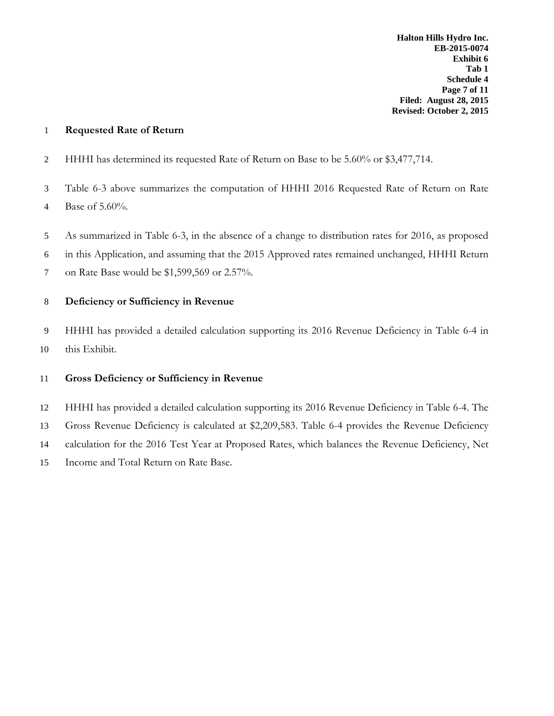#### **Requested Rate of Return**

- HHHI has determined its requested Rate of Return on Base to be 5.60% or \$3,477,714.
- Table 6-3 above summarizes the computation of HHHI 2016 Requested Rate of Return on Rate Base of 5.60%.
- As summarized in Table 6-3, in the absence of a change to distribution rates for 2016, as proposed

in this Application, and assuming that the 2015 Approved rates remained unchanged, HHHI Return

on Rate Base would be \$1,599,569 or 2.57%.

#### **Deficiency or Sufficiency in Revenue**

 HHHI has provided a detailed calculation supporting its 2016 Revenue Deficiency in Table 6-4 in this Exhibit.

#### **Gross Deficiency or Sufficiency in Revenue**

 HHHI has provided a detailed calculation supporting its 2016 Revenue Deficiency in Table 6-4. The Gross Revenue Deficiency is calculated at \$2,209,583. Table 6-4 provides the Revenue Deficiency calculation for the 2016 Test Year at Proposed Rates, which balances the Revenue Deficiency, Net Income and Total Return on Rate Base.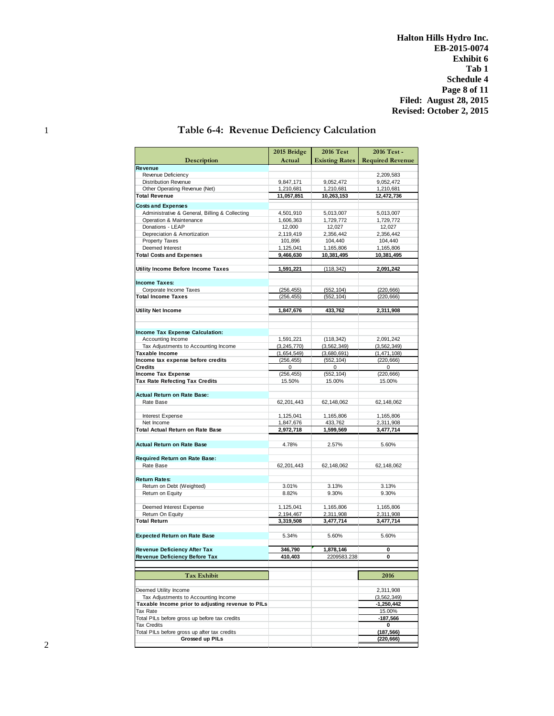**Halton Hills Hydro Inc. EB-2015-0074 Exhibit 6 Tab 1 Schedule 4 Page 8 of 11 Filed: August 28, 2015 Revised: October 2, 2015**

| Description                                       | 2015 Bridge<br>Actual  | <b>2016 Test</b><br><b>Existing Rates</b> | 2016 Test -<br><b>Required Revenue</b> |
|---------------------------------------------------|------------------------|-------------------------------------------|----------------------------------------|
| Revenue                                           |                        |                                           |                                        |
| Revenue Deficiency                                |                        |                                           | 2.209.583                              |
| <b>Distribution Revenue</b>                       | 9,847,171              | 9,052,472                                 | 9,052,472                              |
| Other Operating Revenue (Net)                     | 1,210,681              | 1,210,681                                 | 1,210,681                              |
| <b>Total Revenue</b>                              | 11,057,851             | 10,263,153                                | 12,472,736                             |
| <b>Costs and Expenses</b>                         |                        |                                           |                                        |
| Administrative & General, Billing & Collecting    | 4,501,910              | 5,013,007                                 | 5,013,007                              |
| Operation & Maintenance                           | 1,606,363              | 1,729,772                                 | 1,729,772                              |
| Donations - LEAP                                  | 12,000                 | 12,027                                    | 12,027                                 |
| Depreciation & Amortization                       | 2.119.419              | 2,356,442                                 | 2.356.442                              |
| Property Taxes                                    | 101,896                | 104,440                                   | 104,440                                |
| Deemed Interest                                   | 1,125,041<br>9.466.630 | 1,165,806                                 | 1,165,806                              |
| <b>Total Costs and Expenses</b>                   |                        | 10,381,495                                | 10,381,495                             |
| Utility Income Before Income Taxes                | 1,591,221              | (118, 342)                                | 2,091,242                              |
| <b>Income Taxes:</b>                              |                        |                                           |                                        |
| Corporate Income Taxes                            | (256, 455)             | (552, 104)                                | (220, 666)                             |
| <b>Total Income Taxes</b>                         | (256, 455)             | (552, 104)                                | (220, 666)                             |
|                                                   |                        |                                           |                                        |
| <b>Utility Net Income</b>                         | 1,847,676              | 433,762                                   | 2,311,908                              |
|                                                   |                        |                                           |                                        |
| <b>Income Tax Expense Calculation:</b>            |                        |                                           |                                        |
| Accounting Income                                 | 1,591,221              | (118, 342)                                | 2,091,242                              |
| Tax Adjustments to Accounting Income              | (3, 245, 770)          | (3, 562, 349)                             | (3, 562, 349)                          |
| Taxable Income                                    | (1,654,549)            | (3,680,691)                               | (1, 471, 108)                          |
| Income tax expense before credits<br>Credits      | (256, 455)<br>0        | (552, 104)<br>0                           | (220, 666)<br>0                        |
| Income Tax Expense                                | (256, 455)             | (552, 104)                                | (220, 666)                             |
| <b>Tax Rate Refecting Tax Credits</b>             | 15.50%                 | 15.00%                                    | 15.00%                                 |
|                                                   |                        |                                           |                                        |
| <b>Actual Return on Rate Base:</b>                |                        |                                           |                                        |
| Rate Base                                         | 62,201,443             | 62,148,062                                | 62,148,062                             |
|                                                   |                        |                                           |                                        |
| Interest Expense<br>Net Income                    | 1,125,041              | 1,165,806                                 | 1,165,806                              |
| Total Actual Return on Rate Base                  | 1,847,676<br>2,972,718 | 433,762<br>1,599,569                      | 2,311,908<br>3,477,714                 |
|                                                   |                        |                                           |                                        |
| <b>Actual Return on Rate Base</b>                 | 4.78%                  | 2.57%                                     | 5.60%                                  |
|                                                   |                        |                                           |                                        |
| Required Return on Rate Base:                     |                        |                                           |                                        |
| Rate Base                                         | 62,201,443             | 62,148,062                                | 62,148,062                             |
|                                                   |                        |                                           |                                        |
| <b>Return Rates:</b>                              |                        |                                           |                                        |
| Return on Debt (Weighted)                         | 3.01%                  | 3.13%                                     | 3.13%                                  |
| Return on Equity                                  | 8.82%                  | 9.30%                                     | 9.30%                                  |
| Deemed Interest Expense                           | 1,125,041              | 1,165,806                                 | 1,165,806                              |
| Return On Equity                                  | 2,194,467              | 2,311,908                                 | 2,311,908                              |
| <b>Total Return</b>                               | 3,319,508              | 3,477,714                                 | 3,477,714                              |
|                                                   |                        |                                           |                                        |
| <b>Expected Return on Rate Base</b>               | 5.34%                  | 5.60%                                     | 5.60%                                  |
| <b>Revenue Deficiency After Tax</b>               | 346,790                | 1,878,146                                 | 0                                      |
| Revenue Deficiency Before Tax                     | 410,403                | 2209583.238                               | 0                                      |
|                                                   |                        |                                           |                                        |
| Tax Exhibit                                       |                        |                                           | 2016                                   |
| Deemed Utility Income                             |                        |                                           | 2,311,908                              |
| Tax Adjustments to Accounting Income              |                        |                                           | (3, 562, 349)                          |
| Taxable Income prior to adjusting revenue to PILs |                        |                                           | $-1,250,442$                           |
| Tax Rate                                          |                        |                                           | 15.00%                                 |
| Total PILs before gross up before tax credits     |                        |                                           | $-187,566$                             |
| <b>Tax Credits</b>                                |                        |                                           | 0                                      |
| Total PILs before gross up after tax credits      |                        |                                           | (187, 566)                             |
| Grossed up PILs                                   |                        |                                           | (220, 666)                             |

### 1 **Table 6-4: Revenue Deficiency Calculation**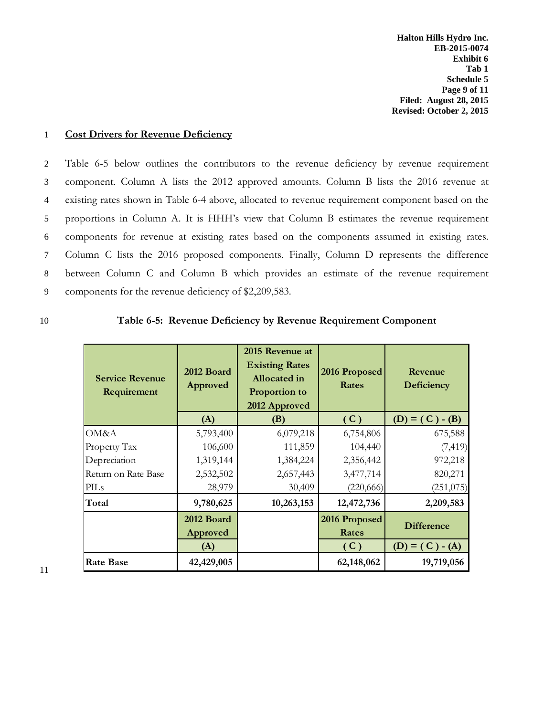**Halton Hills Hydro Inc. EB-2015-0074 Exhibit 6 Tab 1 Schedule 5 Page 9 of 11 Filed: August 28, 2015 Revised: October 2, 2015**

#### 1 **Cost Drivers for Revenue Deficiency**

 Table 6-5 below outlines the contributors to the revenue deficiency by revenue requirement component. Column A lists the 2012 approved amounts. Column B lists the 2016 revenue at existing rates shown in Table 6-4 above, allocated to revenue requirement component based on the proportions in Column A. It is HHH's view that Column B estimates the revenue requirement components for revenue at existing rates based on the components assumed in existing rates. Column C lists the 2016 proposed components. Finally, Column D represents the difference between Column C and Column B which provides an estimate of the revenue requirement components for the revenue deficiency of \$2,209,583.

#### 10 **Table 6-5: Revenue Deficiency by Revenue Requirement Component**

| <b>Service Revenue</b><br>Requirement | 2012 Board<br>Approved | 2015 Revenue at<br><b>Existing Rates</b><br><b>Allocated</b> in<br>Proportion to<br>2012 Approved | 2016 Proposed<br>Rates        | Revenue<br>Deficiency |
|---------------------------------------|------------------------|---------------------------------------------------------------------------------------------------|-------------------------------|-----------------------|
|                                       | (A)                    | (B)                                                                                               | (C)                           | $(D) = (C) - (B)$     |
| OM&A                                  | 5,793,400              | 6,079,218                                                                                         | 6,754,806                     | 675,588               |
| Property Tax                          | 106,600                | 111,859                                                                                           | 104,440                       | (7, 419)              |
| Depreciation                          | 1,319,144              | 1,384,224                                                                                         | 2,356,442                     | 972,218               |
| Return on Rate Base                   | 2,532,502              | 2,657,443                                                                                         | 3,477,714                     | 820,271               |
| PILs                                  | 28,979                 | 30,409                                                                                            | (220, 666)                    | (251,075)             |
| Total                                 | 9,780,625              | 10,263,153                                                                                        | 12,472,736                    | 2,209,583             |
|                                       | 2012 Board<br>Approved |                                                                                                   | 2016 Proposed<br><b>Rates</b> | <b>Difference</b>     |
|                                       | (A)                    |                                                                                                   | (C)                           | $(D) = (C) - (A)$     |
| <b>Rate Base</b>                      | 42,429,005             |                                                                                                   | 62,148,062                    | 19,719,056            |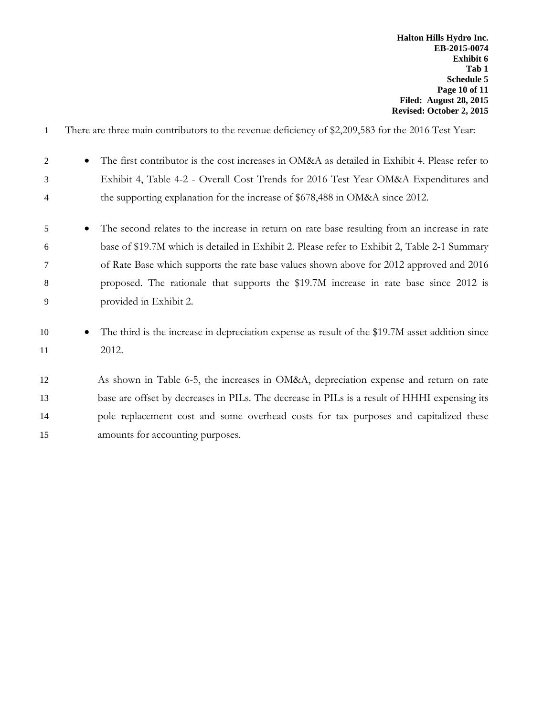| -1             | There are three main contributors to the revenue deficiency of \$2,209,583 for the 2016 Test Year:        |
|----------------|-----------------------------------------------------------------------------------------------------------|
| $\overline{2}$ | The first contributor is the cost increases in OM&A as detailed in Exhibit 4. Please refer to             |
| 3              | Exhibit 4, Table 4-2 - Overall Cost Trends for 2016 Test Year OM&A Expenditures and                       |
| 4              | the supporting explanation for the increase of \$678,488 in OM&A since 2012.                              |
| 5              | The second relates to the increase in return on rate base resulting from an increase in rate<br>$\bullet$ |
| 6              | base of \$19.7M which is detailed in Exhibit 2. Please refer to Exhibit 2, Table 2-1 Summary              |
| 7              | of Rate Base which supports the rate base values shown above for 2012 approved and 2016                   |
| 8              | proposed. The rationale that supports the \$19.7M increase in rate base since 2012 is                     |
| 9              | provided in Exhibit 2.                                                                                    |
| 10             | The third is the increase in depreciation expense as result of the \$19.7M asset addition since           |
| 11             | 2012.                                                                                                     |
| 12             | As shown in Table 6-5, the increases in OM&A, depreciation expense and return on rate                     |
| 13             | base are offset by decreases in PILs. The decrease in PILs is a result of HHHI expensing its              |
| 14             | pole replacement cost and some overhead costs for tax purposes and capitalized these                      |
| 15             | amounts for accounting purposes.                                                                          |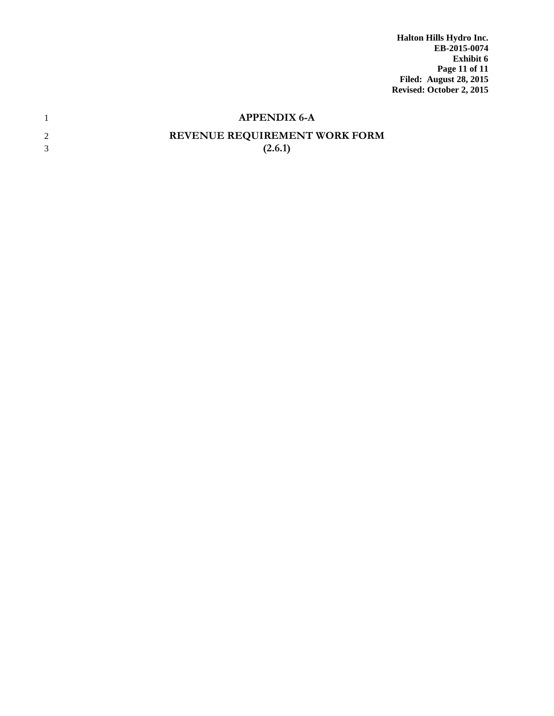**Halton Hills Hydro Inc. EB-2015-0074 Exhibit 6 Page 11 of 11 Filed: August 28, 2015 Revised: October 2, 2015**

|   | <b>APPENDIX 6-A</b>           |
|---|-------------------------------|
| 2 | REVENUE REQUIREMENT WORK FORM |
| 3 | (2.6.1)                       |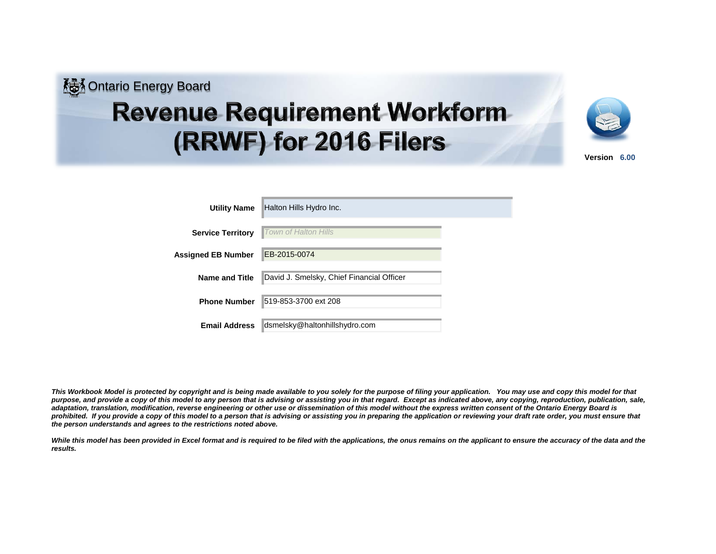

# **Revenue Requirement Workform** (RRWF) for 2016 Filers



| Version | 6.00 |  |
|---------|------|--|
|---------|------|--|

| <b>Utility Name</b>      | Halton Hills Hydro Inc.                   |  |
|--------------------------|-------------------------------------------|--|
| <b>Service Territory</b> | Town of Halton Hills                      |  |
| Assigned EB Number       | EB-2015-0074                              |  |
| <b>Name and Title</b>    | David J. Smelsky, Chief Financial Officer |  |
| <b>Phone Number</b>      | 519-853-3700 ext 208                      |  |
| <b>Email Address</b>     | dsmelsky@haltonhillshydro.com             |  |

*This Workbook Model is protected by copyright and is being made available to you solely for the purpose of filing your application. You may use and copy this model for that*  purpose, and provide a copy of this model to any person that is advising or assisting you in that regard. Except as indicated above, any copying, reproduction, publication, sale, *adaptation, translation, modification, reverse engineering or other use or dissemination of this model without the express written consent of the Ontario Energy Board is*  prohibited. If you provide a copy of this model to a person that is advising or assisting you in preparing the application or reviewing your draft rate order, you must ensure that *the person understands and agrees to the restrictions noted above.*

While this model has been provided in Excel format and is required to be filed with the applications, the onus remains on the applicant to ensure the accuracy of the data and the *results.*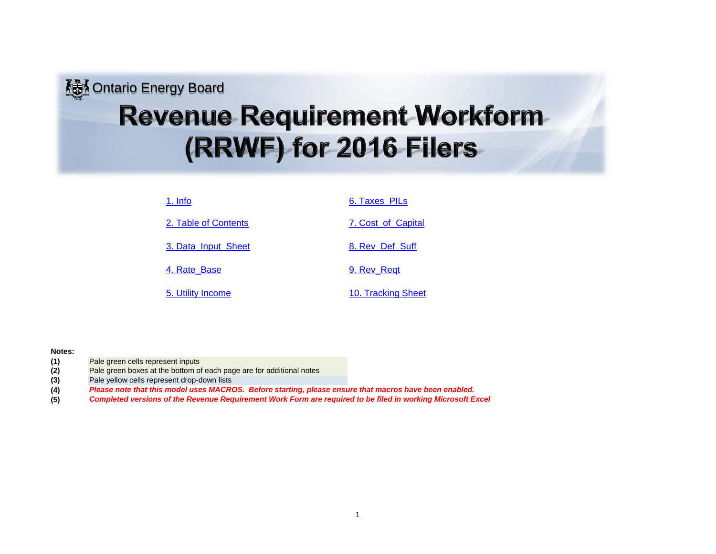## **<u>&</u>** Ontario Energy Board **Revenue Requirement Workform** (RRWF) for 2016 Filers

| 1. Info              | 6. Taxes PILs      |
|----------------------|--------------------|
| 2. Table of Contents | 7. Cost of Capital |
| 3. Data Input Sheet  | 8. Rev Def Suff    |
| 4. Rate Base         | 9. Rev Regt        |
| 5. Utility Income    | 10. Tracking Sheet |
|                      |                    |

#### **Notes:**

- **(1)** Pale green cells represent inputs
- **(2)** Pale green boxes at the bottom of each page are for additional notes
- **(3)** Pale yellow cells represent drop-down lists
- **(4)** *Please note that this model uses MACROS. Before starting, please ensure that macros have been enabled.*
- **(5)** *Completed versions of the Revenue Requirement Work Form are required to be filed in working Microsoft Excel*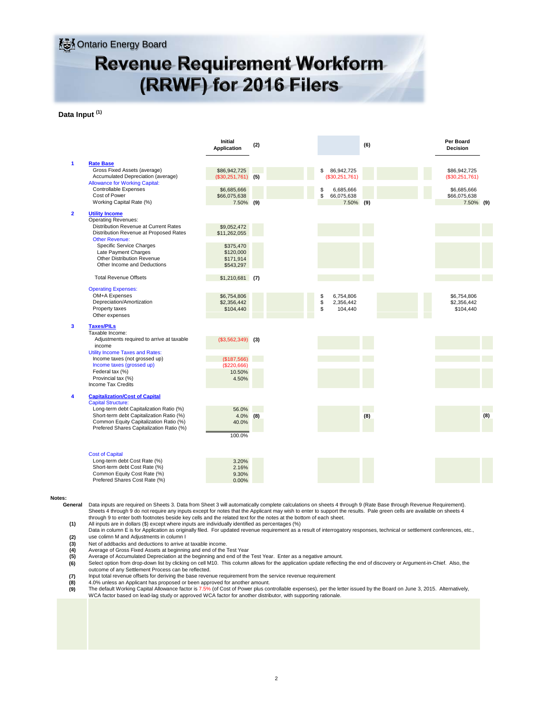### **AM** Ontario Energy Board **Revenue Requirement Workform** (RRWF) for 2016 Filers

#### **Data Input (1)**

|                         |                                                                                                                                                                           | <b>Initial</b><br><b>Application</b>             | (2) |               |                                      | (6) | Per Board<br><b>Decision</b>             |     |
|-------------------------|---------------------------------------------------------------------------------------------------------------------------------------------------------------------------|--------------------------------------------------|-----|---------------|--------------------------------------|-----|------------------------------------------|-----|
| 1                       | <b>Rate Base</b><br>Gross Fixed Assets (average)<br>Accumulated Depreciation (average)<br><b>Allowance for Working Capital:</b>                                           | \$86.942.725<br>$(S30, 251, 761)$ (5)            |     | \$            | 86.942.725<br>(\$30,251,761)         |     | \$86,942,725<br>(\$30,251,761)           |     |
|                         | <b>Controllable Expenses</b><br>Cost of Power<br>Working Capital Rate (%)                                                                                                 | \$6,685,666<br>\$66,075,638<br>7.50% (9)         |     | \$<br>\$      | 6.685.666<br>66,075,638<br>7.50% (9) |     | \$6,685,666<br>\$66,075,638<br>7.50% (9) |     |
| $\overline{\mathbf{2}}$ | <b>Utility Income</b><br><b>Operating Revenues:</b><br>Distribution Revenue at Current Rates<br>Distribution Revenue at Proposed Rates                                    | \$9,052,472<br>\$11,262,055                      |     |               |                                      |     |                                          |     |
|                         | <b>Other Revenue:</b><br>Specific Service Charges<br>Late Payment Charges<br>Other Distribution Revenue<br>Other Income and Deductions                                    | \$375,470<br>\$120,000<br>\$171.914<br>\$543,297 |     |               |                                      |     |                                          |     |
|                         | <b>Total Revenue Offsets</b>                                                                                                                                              | $$1,210,681$ (7)                                 |     |               |                                      |     |                                          |     |
|                         | <b>Operating Expenses:</b><br>OM+A Expenses<br>Depreciation/Amortization<br>Property taxes<br>Other expenses                                                              | \$6,754,806<br>\$2,356,442<br>\$104,440          |     | \$<br>\$<br>S | 6,754,806<br>2,356,442<br>104,440    |     | \$6,754,806<br>\$2,356,442<br>\$104,440  |     |
| 3                       | <b>Taxes/PILs</b><br>Taxable Income:<br>Adjustments required to arrive at taxable                                                                                         | $(\$3,562,349)$ (3)                              |     |               |                                      |     |                                          |     |
|                         | income<br>Utility Income Taxes and Rates:<br>Income taxes (not grossed up)                                                                                                | (\$187,566)                                      |     |               |                                      |     |                                          |     |
|                         | Income taxes (grossed up)<br>Federal tax (%)<br>Provincial tax (%)<br><b>Income Tax Credits</b>                                                                           | (\$220,666)<br>10.50%<br>4.50%                   |     |               |                                      |     |                                          |     |
| 4                       | <b>Capitalization/Cost of Capital</b><br><b>Capital Structure:</b>                                                                                                        |                                                  |     |               |                                      |     |                                          |     |
|                         | Long-term debt Capitalization Ratio (%)<br>Short-term debt Capitalization Ratio (%)<br>Common Equity Capitalization Ratio (%)<br>Prefered Shares Capitalization Ratio (%) | 56.0%<br>$4.0\%$ (8)<br>40.0%<br>100.0%          |     |               |                                      | (8) |                                          | (8) |
|                         | <b>Cost of Capital</b><br>Long-term debt Cost Rate (%)<br>Short-term debt Cost Rate (%)<br>Common Equity Cost Rate (%)<br>Prefered Shares Cost Rate (%)                   | 3.20%<br>2.16%<br>9.30%<br>0.00%                 |     |               |                                      |     |                                          |     |

**Notes:**

**General** Data inputs are required on Sheets 3. Data from Sheet 3 will automatically complete calculations on sheets 4 through 9 (Rate Base through Revenue Requirement). Sheets 4 through 9 do not require any inputs except for notes that the Applicant may wish to enter to support the results. Pale green cells are available on sheets 4 through 9 to enter both footnotes beside key cells and the related text for the notes at the bottom of each sheet.

**(1)** All inputs are in dollars (\$) except where inputs are individually identified as percentages (%)

- **(2)** Data in column E is for Application as originally filed. For updated revenue requirement as a result of interrogatory responses, technical or settlement conferences, etc., use colimn M and Adjustments in column I
- Net of addbacks and deductions to arrive at taxable income.
- **(3) (4) (5)**
- Average of Gross Fixed Assets at beginning and end of the Test Year Average of Accumulated Depreciation at the beginning and end of the Test Year. Enter as a negative amount.
- **(6)** Select option from drop-down list by clicking on cell M10. This column allows for the application update reflecting the end of discovery or Argument-in-Chief. Also, the outcome of any Settlement Process can be reflected.
- Input total revenue offsets for deriving the base revenue requirement from the service revenue requirement
- **(7) (8)**
- **(8)** 4.0% unless an Applicant has proposed or been approved for another amount.<br>**(9)** The default Working Capital Allowance factor is 7.5% (of Cost of Power plus controllable expenses), per the letter issued by the Board WCA factor based on lead-lag study or approved WCA factor for another distributor, with supporting rationale.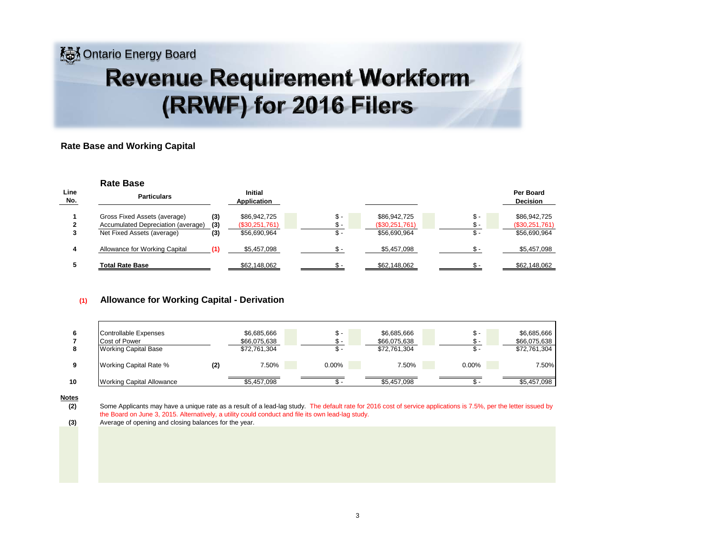## **Ko** Ontario Energy Board **Revenue Requirement Workform** (RRWF) for 2016 Filers

#### **Rate Base and Working Capital**

|             | <b>Rate Base</b>                                                                                 |                   |                                                  |             |                                                |                              |                                                |
|-------------|--------------------------------------------------------------------------------------------------|-------------------|--------------------------------------------------|-------------|------------------------------------------------|------------------------------|------------------------------------------------|
| Line<br>No. | <b>Particulars</b>                                                                               |                   | <b>Initial</b><br>Application                    |             |                                                | Per Board<br><b>Decision</b> |                                                |
|             | Gross Fixed Assets (average)<br>Accumulated Depreciation (average)<br>Net Fixed Assets (average) | (3)<br>(3)<br>(3) | \$86,942,725<br>$(\$30,251,761)$<br>\$56,690,964 | \$ -<br>ь - | \$86,942,725<br>(\$30,251,761)<br>\$56,690,964 | \$-<br>\$ -<br>\$-           | \$86,942,725<br>(\$30,251,761)<br>\$56,690,964 |
| 4           | Allowance for Working Capital                                                                    |                   | \$5,457,098                                      |             | \$5,457,098                                    | $S -$                        | \$5,457,098                                    |
|             | <b>Total Rate Base</b>                                                                           |                   | \$62,148,062                                     |             | \$62,148,062                                   |                              | \$62,148,062                                   |

#### **(1) Allowance for Working Capital - Derivation**

|    | Controllable Expenses<br>Cost of Power<br><b>Working Capital Base</b> |     | \$6,685,666<br>\$66,075,638<br>\$72,761,304 | . ა. – | \$6,685,666<br>\$66,075,638<br>\$72,761,304 | \$-<br>ა - | \$6,685,666<br>\$66,075,638<br>\$72,761,304 |
|----|-----------------------------------------------------------------------|-----|---------------------------------------------|--------|---------------------------------------------|------------|---------------------------------------------|
| 9  | Working Capital Rate %                                                | (2) | 7.50%                                       | 0.00%  | 7.50%                                       | $0.00\%$   | 7.50%                                       |
| 10 | <b>Working Capital Allowance</b>                                      |     | \$5.457.098                                 |        | \$5.457.098                                 |            | \$5,457,098                                 |

#### **Notes**

**(2)** Some Applicants may have a unique rate as a result of a lead-lag study. The default rate for 2016 cost of service applications is 7.5%, per the letter issued by the Board on June 3, 2015. Alternatively, a utility could conduct and file its own lead-lag study.

**(3)** Average of opening and closing balances for the year.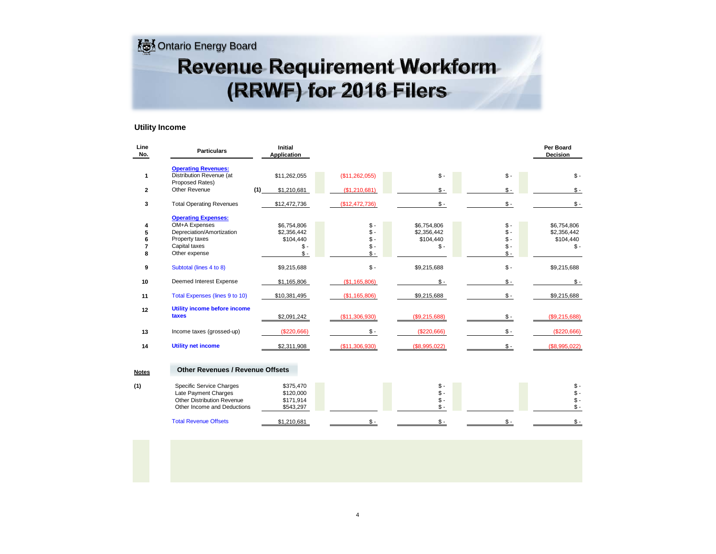**Ontario Energy Board** 

## **Revenue Requirement Workform** (RRWF) for 2016 Filers

#### **Utility Income**

| Line<br>No.  | <b>Particulars</b>                                                                                                           | <b>Initial</b><br><b>Application</b>                      |                                                     |                                                 |                                                     | Per Board<br>Decision                            |
|--------------|------------------------------------------------------------------------------------------------------------------------------|-----------------------------------------------------------|-----------------------------------------------------|-------------------------------------------------|-----------------------------------------------------|--------------------------------------------------|
| 1            | <b>Operating Revenues:</b><br>Distribution Revenue (at<br>Proposed Rates)                                                    | \$11,262,055                                              | (\$11,262,055)                                      | $S -$                                           | $\mathcal{S}$ -                                     | $S -$                                            |
| $\mathbf{2}$ | Other Revenue                                                                                                                | (1)<br>\$1,210,681                                        | (\$1,210,681)                                       | $S -$                                           | $S -$                                               | $\mathsf{\$}$ -                                  |
| 3            | <b>Total Operating Revenues</b>                                                                                              | \$12,472,736                                              | (\$12,472,736)                                      | $S -$                                           | $\mathsf{\$}$ -                                     | $$ -$                                            |
| 5<br>7<br>8  | <b>Operating Expenses:</b><br>OM+A Expenses<br>Depreciation/Amortization<br>Property taxes<br>Capital taxes<br>Other expense | \$6,754,806<br>\$2,356,442<br>\$104,440<br>$$ -$<br>$S -$ | $\mathsf{\$}$ -<br>$S -$<br>$S -$<br>$$ -$<br>$S -$ | \$6,754,806<br>\$2,356,442<br>\$104,440<br>$$-$ | $\mathsf{\$}$ -<br>$S -$<br>$S -$<br>$S -$<br>$S -$ | \$6,754,806<br>\$2,356,442<br>\$104,440<br>$S -$ |
| 9            | Subtotal (lines 4 to 8)                                                                                                      | \$9,215,688                                               | $S -$                                               | \$9,215,688                                     | $S -$                                               | \$9,215,688                                      |
| 10           | Deemed Interest Expense                                                                                                      | \$1,165,806                                               | (\$1,165,806)                                       | $S -$                                           | $S -$                                               | $\mathsf{\$}$ -                                  |
| 11           | Total Expenses (lines 9 to 10)                                                                                               | \$10,381,495                                              | (S1, 165, 806)                                      | \$9,215,688                                     | $S -$                                               | \$9,215,688                                      |
| 12           | Utility income before income<br>taxes                                                                                        | \$2,091,242                                               | (\$11,306,930)                                      | (\$9,215,688)                                   | $S -$                                               | (\$9,215,688)                                    |
| 13           | Income taxes (grossed-up)                                                                                                    | (\$220,666)                                               | $$ -$                                               | (\$220,666)                                     | $S -$                                               | (\$220,666)                                      |
| 14           | <b>Utility net income</b>                                                                                                    | \$2,311,908                                               | (\$11,306,930)                                      | (\$8,995,022)                                   |                                                     | (\$8,995,022)                                    |
| <b>Notes</b> | <b>Other Revenues / Revenue Offsets</b>                                                                                      |                                                           |                                                     |                                                 |                                                     |                                                  |
| (1)          | Specific Service Charges                                                                                                     | <b>C<sub>275</sub></b> 470                                |                                                     | $\bullet$ .                                     |                                                     | $\bullet$                                        |

| <b>Total Revenue Offsets</b>      | \$1.210.681 |  |  |  |
|-----------------------------------|-------------|--|--|--|
| Other Income and Deductions       | \$543.297   |  |  |  |
| <b>Other Distribution Revenue</b> | \$171.914   |  |  |  |
| Late Payment Charges              | \$120,000   |  |  |  |
| Specific Service Charges          | \$375,470   |  |  |  |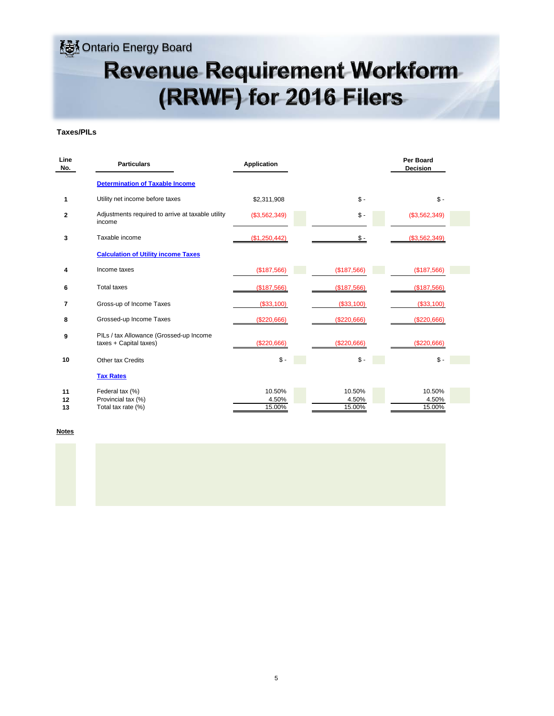### **M**Ontario Energy Board

## **Revenue Requirement Workform** (RRWF) for 2016 Filers

#### **Taxes/PILs**

| Line<br>No.    | <b>Particulars</b>                                                | <b>Application</b>        |                           | <b>Per Board</b><br><b>Decision</b> |
|----------------|-------------------------------------------------------------------|---------------------------|---------------------------|-------------------------------------|
|                | <b>Determination of Taxable Income</b>                            |                           |                           |                                     |
| 1              | Utility net income before taxes                                   | \$2,311,908               | $$ -$                     | $S -$                               |
| 2              | Adjustments required to arrive at taxable utility<br>income       | (\$3,562,349)             | $\mathsf{\$}$ -           | (\$3,562,349)                       |
| 3              | Taxable income                                                    | (\$1,250,442)             | \$-                       | (\$3,562,349)                       |
|                | <b>Calculation of Utility income Taxes</b>                        |                           |                           |                                     |
| 4              | Income taxes                                                      | (\$187,566)               | (\$187,566)               | (\$187,566)                         |
| 6              | <b>Total taxes</b>                                                | (\$187,566)               | (\$187,566)               | (\$187,566)                         |
| 7              | Gross-up of Income Taxes                                          | (\$33,100)                | (\$33,100)                | (\$33,100)                          |
| 8              | Grossed-up Income Taxes                                           | (\$220,666)               | (\$220,666)               | (\$220,666)                         |
| 9              | PILs / tax Allowance (Grossed-up Income<br>taxes + Capital taxes) | (\$220,666)               | (\$220,666)               | (\$220,666)                         |
| 10             | <b>Other tax Credits</b>                                          | $\mathsf{\$}$ -           | $\mathsf{\$}$ .           | $\mathsf{\$}$ -                     |
|                | <b>Tax Rates</b>                                                  |                           |                           |                                     |
| 11<br>12<br>13 | Federal tax (%)<br>Provincial tax (%)<br>Total tax rate (%)       | 10.50%<br>4.50%<br>15.00% | 10.50%<br>4.50%<br>15.00% | 10.50%<br>4.50%<br>15.00%           |

**Notes**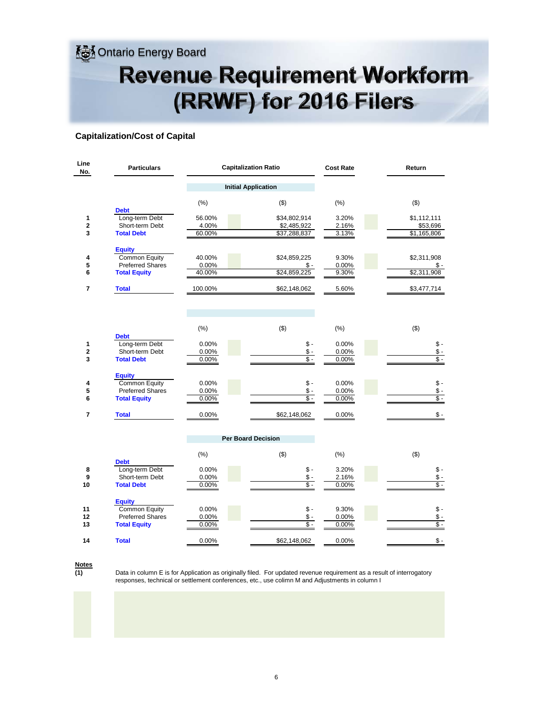**SA** Ontario Energy Board

## **Revenue Requirement Workform** (RRWF) for 2016 Filers

#### **Capitalization/Cost of Capital**

| Line<br>No.           | <b>Particulars</b>                                                               |                            | <b>Capitalization Ratio</b>                         | <b>Cost Rate</b>        | Return                                                  |
|-----------------------|----------------------------------------------------------------------------------|----------------------------|-----------------------------------------------------|-------------------------|---------------------------------------------------------|
|                       |                                                                                  |                            | <b>Initial Application</b>                          |                         |                                                         |
|                       | <b>Debt</b>                                                                      | (% )                       | ( \$)                                               | (% )                    | $($ \$)                                                 |
| 1<br>$\mathbf 2$<br>3 | Long-term Debt<br>Short-term Debt<br><b>Total Debt</b>                           | 56.00%<br>4.00%<br>60.00%  | \$34,802,914<br>\$2,485,922<br>\$37,288,837         | 3.20%<br>2.16%<br>3.13% | \$1,112,111<br>\$53,696<br>\$1,165,806                  |
| 4<br>5<br>6           | <b>Equity</b><br>Common Equity<br><b>Preferred Shares</b><br><b>Total Equity</b> | 40.00%<br>0.00%<br>40.00%  | \$24,859,225<br>\$-<br>\$24,859,225                 | 9.30%<br>0.00%<br>9.30% | \$2,311,908<br>\$-<br>\$2,311,908                       |
| 7                     | <b>Total</b>                                                                     | 100.00%                    | \$62,148,062                                        | 5.60%                   | \$3,477,714                                             |
|                       |                                                                                  | (% )                       | ( \$)                                               | (% )                    | $($ \$)                                                 |
| 1<br>2<br>3           | <b>Debt</b><br>Long-term Debt<br>Short-term Debt<br><b>Total Debt</b>            | 0.00%<br>0.00%<br>0.00%    | $\frac{1}{2}$ .<br>\$-<br>\$ -                      | 0.00%<br>0.00%<br>0.00% | $\mathcal{S}$ -<br>$\frac{1}{2}$ .<br>$\overline{\$}$ - |
| 4<br>5<br>6           | <b>Equity</b><br>Common Equity<br><b>Preferred Shares</b><br><b>Total Equity</b> | 0.00%<br>$0.00\%$<br>0.00% | $\frac{1}{2}$ .<br>\$-<br>$\overline{\mathsf{s}}$ - | 0.00%<br>0.00%<br>0.00% | $\frac{1}{2}$ .<br>$$ -$<br>$$ -$                       |
| $\overline{7}$        | <b>Total</b>                                                                     | 0.00%                      | \$62,148,062                                        | 0.00%                   | $S -$                                                   |
|                       |                                                                                  |                            | <b>Per Board Decision</b>                           |                         |                                                         |
|                       | <b>Debt</b>                                                                      | (% )                       | ( \$)                                               | (% )                    | (3)                                                     |
| 8<br>9<br>10          | Long-term Debt<br>Short-term Debt<br><b>Total Debt</b>                           | 0.00%<br>0.00%<br>0.00%    | $\mathsf{\$}$ .<br>$\mathsf{\$}$ .<br>$$ -$         | 3.20%<br>2.16%<br>0.00% | $$ -$<br>$$ -$<br>$S -$                                 |
| 11<br>12<br>13        | <b>Equity</b><br>Common Equity<br><b>Preferred Shares</b><br><b>Total Equity</b> | 0.00%<br>0.00%<br>0.00%    | $\frac{1}{2}$ .<br>\$-<br>$\overline{\$}$ .         | 9.30%<br>0.00%<br>0.00% | $\frac{1}{2}$ .<br>$\mathsf{\$}$ .<br>$\overline{\$}$ . |
| 14                    | <b>Total</b>                                                                     | 0.00%                      | \$62,148,062                                        | 0.00%                   | $\frac{1}{2}$                                           |

**(1) Notes**

Data in column E is for Application as originally filed. For updated revenue requirement as a result of interrogatory responses, technical or settlement conferences, etc., use colimn M and Adjustments in column I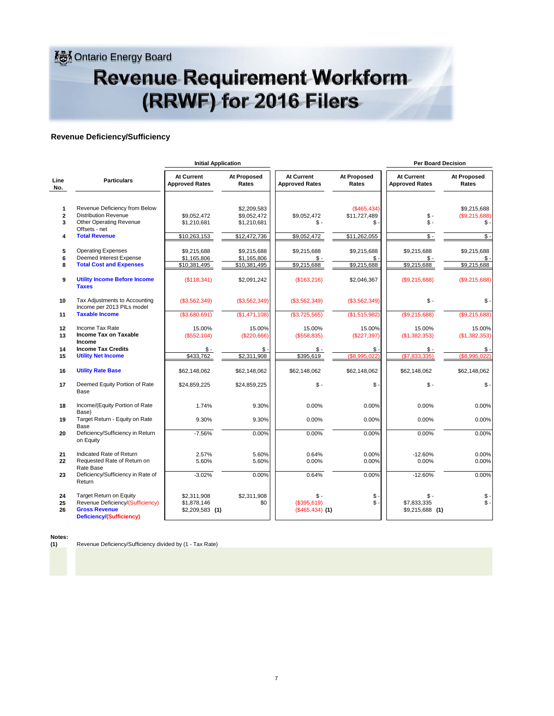**Ontario Energy Board** 

### **Revenue Requirement Workform** (RRWF) for 2016 Filers

#### **Revenue Deficiency/Sufficiency**

|                                                   |                                                                                                                                         | <b>Initial Application</b>                     |                                                           |                                                    | <b>Per Board Decision</b>                           |                                            |                                                       |  |  |  |  |
|---------------------------------------------------|-----------------------------------------------------------------------------------------------------------------------------------------|------------------------------------------------|-----------------------------------------------------------|----------------------------------------------------|-----------------------------------------------------|--------------------------------------------|-------------------------------------------------------|--|--|--|--|
| Line<br>No.                                       | <b>Particulars</b>                                                                                                                      | <b>At Current</b><br><b>Approved Rates</b>     | At Proposed<br>Rates                                      | <b>At Current</b><br><b>Approved Rates</b>         | <b>At Proposed</b><br>Rates                         | <b>At Current</b><br><b>Approved Rates</b> | At Proposed<br>Rates                                  |  |  |  |  |
| $\mathbf{1}$<br>$\overline{\mathbf{2}}$<br>3<br>4 | Revenue Deficiency from Below<br><b>Distribution Revenue</b><br><b>Other Operating Revenue</b><br>Offsets - net<br><b>Total Revenue</b> | \$9,052,472<br>\$1,210,681<br>\$10,263,153     | \$2,209,583<br>\$9,052,472<br>\$1,210,681<br>\$12,472,736 | \$9,052,472<br>$$ -$<br>\$9,052,472                | (S465.434)<br>\$11,727,489<br>$$ -$<br>\$11,262,055 | \$-<br>$S -$<br>\$-                        | \$9.215.688<br>(\$9,215,688)<br>\$<br>$\mathsf{\$}$ . |  |  |  |  |
| 5<br>6<br>8                                       | <b>Operating Expenses</b><br>Deemed Interest Expense<br><b>Total Cost and Expenses</b>                                                  | \$9,215,688<br>\$1,165,806<br>\$10,381,495     | \$9,215,688<br>\$1,165,806<br>\$10,381,495                | \$9,215,688<br>$S -$<br>\$9,215,688                | \$9,215,688<br>$$ -$<br>\$9,215,688                 | \$9,215,688<br>\$-<br>\$9,215,688          | \$9,215,688<br>$\mathbb{S}$ .<br>\$9,215,688          |  |  |  |  |
| 9                                                 | <b>Utility Income Before Income</b><br><b>Taxes</b>                                                                                     | (\$118,341)                                    | \$2,091,242                                               | (\$163,216)                                        | \$2,046,367                                         | (\$9,215,688)                              | (\$9,215,688)                                         |  |  |  |  |
| 10                                                | Tax Adjustments to Accounting<br>Income per 2013 PILs model                                                                             | (\$3,562,349)                                  | (\$3,562,349)                                             | (\$3,562,349)                                      | (\$3,562,349)                                       | $S -$                                      | $$\mathsf{S}$ .                                       |  |  |  |  |
| 11                                                | <b>Taxable Income</b>                                                                                                                   | (\$3,680,691)                                  | (S1, 471, 108)                                            | (\$3,725,565)                                      | (\$1,515,982)                                       | (\$9,215,688)                              | (\$9,215,688)                                         |  |  |  |  |
| 12<br>13                                          | Income Tax Rate<br>Income Tax on Taxable<br>Income                                                                                      | 15.00%<br>(\$552, 104)                         | 15.00%<br>(\$220,666)                                     | 15.00%<br>(\$558,835)                              | 15.00%<br>(\$227,397)                               | 15.00%<br>(\$1,382,353)                    | 15.00%<br>(\$1,382,353)                               |  |  |  |  |
| 14<br>15                                          | <b>Income Tax Credits</b><br><b>Utility Net Income</b>                                                                                  | \$-<br>\$433,762                               | \$-<br>\$2,311,908                                        | \$ -<br>\$395,619                                  | \$-<br>(\$8.995.022)                                | Տ -<br>(S7.833.335)                        | \$.<br>(\$8.995.022                                   |  |  |  |  |
| 16                                                | <b>Utility Rate Base</b>                                                                                                                | \$62,148,062                                   | \$62,148,062                                              | \$62,148,062                                       | \$62,148,062                                        | \$62,148,062                               | \$62,148,062                                          |  |  |  |  |
| 17                                                | Deemed Equity Portion of Rate<br>Base                                                                                                   | \$24,859,225                                   | \$24,859,225                                              | $$ -$                                              | $S -$                                               | $S -$                                      | $\mathsf{\$}$ .                                       |  |  |  |  |
| 18                                                | Income/(Equity Portion of Rate<br>Base)                                                                                                 | 1.74%                                          | 9.30%                                                     | 0.00%                                              | 0.00%                                               | 0.00%                                      | 0.00%                                                 |  |  |  |  |
| 19                                                | Target Return - Equity on Rate<br>Base                                                                                                  | 9.30%                                          | 9.30%                                                     | 0.00%                                              | 0.00%                                               | 0.00%                                      | 0.00%                                                 |  |  |  |  |
| 20                                                | Deficiency/Sufficiency in Return<br>on Equity                                                                                           | $-7.56%$                                       | 0.00%                                                     | $0.00\%$                                           | 0.00%                                               | 0.00%                                      | 0.00%                                                 |  |  |  |  |
| 21<br>22                                          | Indicated Rate of Return<br>Requested Rate of Return on<br>Rate Base                                                                    | 2.57%<br>5.60%                                 | 5.60%<br>5.60%                                            | 0.64%<br>0.00%                                     | 0.00%<br>0.00%                                      | $-12.60%$<br>0.00%                         | 0.00%<br>0.00%                                        |  |  |  |  |
| 23                                                | Deficiency/Sufficiency in Rate of<br>Return                                                                                             | $-3.02%$                                       | 0.00%                                                     | 0.64%                                              | 0.00%                                               | $-12.60%$                                  | 0.00%                                                 |  |  |  |  |
| 24<br>25<br>26                                    | <b>Target Return on Equity</b><br>Revenue Deficiency/(Sufficiency)<br><b>Gross Revenue</b><br>Deficiency/(Sufficiency)                  | \$2,311,908<br>\$1,878,146<br>$$2,209,583$ (1) | \$2,311,908<br>\$0                                        | $\mathsf{\$}$ -<br>(\$395,619)<br>$($465,434)$ (1) | $$$ -<br>$$ -$                                      | $S -$<br>\$7,833,335<br>$$9,215,688$ (1)   | \$<br>\$                                              |  |  |  |  |

**Notes:**

**(1)** Revenue Deficiency/Sufficiency divided by (1 - Tax Rate)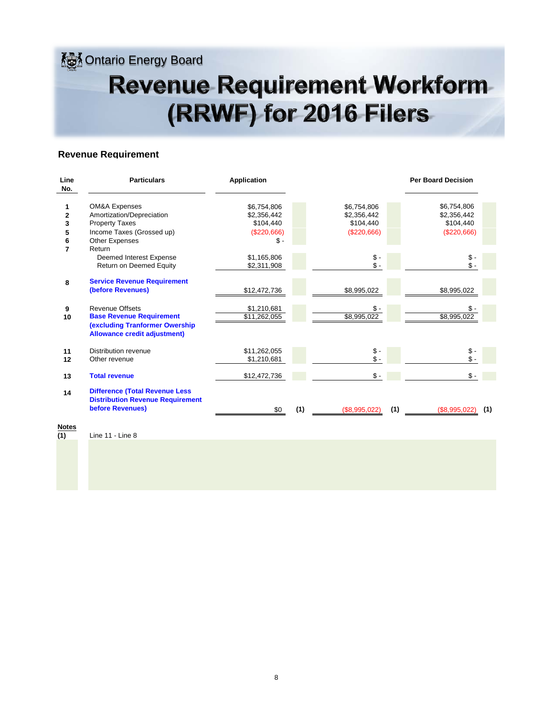**<u></u>** Ontario Energy Board

## **Revenue Requirement Workform** (RRWF) for 2016 Filers

#### **Revenue Requirement**

| Line<br>No.    | <b>Particulars</b>                                                               | <b>Application</b> |     |               |     | <b>Per Board Decision</b> |  |
|----------------|----------------------------------------------------------------------------------|--------------------|-----|---------------|-----|---------------------------|--|
|                | <b>OM&amp;A Expenses</b>                                                         | \$6,754,806        |     | \$6,754,806   |     | \$6,754,806               |  |
| $\overline{2}$ | Amortization/Depreciation                                                        | \$2,356,442        |     | \$2,356,442   |     | \$2,356,442               |  |
| 3              | <b>Property Taxes</b>                                                            | \$104,440          |     | \$104,440     |     | \$104,440                 |  |
| 5              | Income Taxes (Grossed up)                                                        | (\$220,666)        |     | (\$220,666)   |     | (\$220,666)               |  |
| 6              | Other Expenses                                                                   | \$-                |     |               |     |                           |  |
| $\overline{7}$ | Return                                                                           |                    |     |               |     |                           |  |
|                | Deemed Interest Expense                                                          | \$1,165,806        |     | \$ -          |     | $$ -$                     |  |
|                | Return on Deemed Equity                                                          | \$2,311,908        |     | $$ -$         |     | $\mathsf{\$}$ -           |  |
| 8              | <b>Service Revenue Requirement</b>                                               |                    |     |               |     |                           |  |
|                | (before Revenues)                                                                | \$12,472,736       |     | \$8,995,022   |     | \$8,995,022               |  |
| 9              | <b>Revenue Offsets</b>                                                           | \$1,210,681        |     | \$ -          |     | \$-                       |  |
| 10             | <b>Base Revenue Requirement</b>                                                  | \$11,262,055       |     | \$8,995,022   |     | \$8,995,022               |  |
|                | (excluding Tranformer Owership<br><b>Allowance credit adjustment)</b>            |                    |     |               |     |                           |  |
| 11             | Distribution revenue                                                             | \$11,262,055       |     | \$ -          |     | \$ -                      |  |
| 12             | Other revenue                                                                    | \$1,210,681        |     | $$ -$         |     | $\mathsf{s}$ .            |  |
| 13             | <b>Total revenue</b>                                                             | \$12,472,736       |     | $$ -$         |     | $$ -$                     |  |
| 14             | <b>Difference (Total Revenue Less</b><br><b>Distribution Revenue Requirement</b> |                    |     |               |     |                           |  |
|                | before Revenues)                                                                 | \$0                | (1) | (\$8,995,022) | (1) | (1)<br>(\$8,995,022)      |  |
| <b>Notes</b>   |                                                                                  |                    |     |               |     |                           |  |

**(1)** Line 11 - Line 8 <u>Not</u><br>(1)